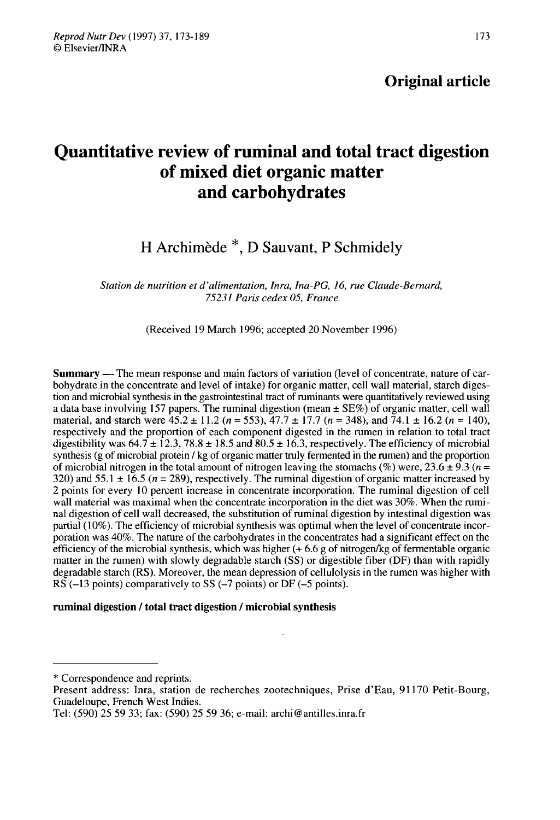# Quantitative review of ruminal and total tract digestion of mixed diet organic matter and carbohydrates

# H Archimède \*, D Sauvant, P Schmidely

Station de nutrition et d'alimentation, Inra, Ina-PG, 16, rue Claude-Bernard, 75231 Paris cedex 05, France

#### (Received 19 March 1996; accepted 20 November 1996)

Summary ― The mean response and main factors of variation (level of concentrate, nature of carbohydrate in the concentrate and level of intake) for organic matter, cell wall material, starch digestion and microbial synthesis in the gastrointestinal tract of ruminants were quantitatively reviewed using a data base involving 157 papers. The ruminal digestion (mean  $\pm$  SE%) of organic matter, cell wall material, and starch were  $45.2 \pm 11.2$  ( $n = 553$ ),  $47.7 \pm 17.7$  ( $n = 348$ ), and  $74.1 \pm 16.2$  ( $n = 140$ ), respectively and the proportion of each component digested in the rumen in relation to total tract digestibility was  $64.7 \pm 12.3$ ,  $78.8 \pm 18.5$  and  $80.5 \pm 16.3$ , respectively. The efficiency of microbial synthesis (g of microbial protein / kg of organic matter truly fermented in the rumen) and the proportion of microbial nitrogen in the total amount of nitrogen leaving the stomachs (%) were,  $23.6 \pm 9.3$  ( $n =$ 320) and 55.1  $\pm$  16.5 ( $n = 289$ ), respectively. The ruminal digestion of organic matter increased by 2 points for every 10 percent increase in concentrate incorporation. The ruminal digestion of cell wall material was maximal when the concentrate incorporation in the diet was 30%. When the ruminal digestion of cell wall decreased, the substitution of ruminal digestion by intestinal digestion was partial (10%). The efficiency of microbial synthesis was optimal when the level of concentrate incorporation was 40%. The nature of the carbohydrates in the concentrates had a significant effect on the efficiency of the microbial synthesis, which was higher  $(+ 6.6 g$  of nitrogen/kg of fermentable organic matter in the rumen) with slowly degradable starch (SS) or digestible fiber (DF) than with rapidly degradable starch (RS). Moreover, the mean depression of cellulolysis in the rumen was higher with RS  $(-13 \text{ points})$  comparatively to SS  $(-7 \text{ points})$  or DF  $(-5 \text{ points})$ .

#### ruminal digestion / total tract digestion / microbial synthesis

RS (-13 points) comparatively<br>
ruminal digestion / total tract<br>
\* Correspondence and reprints.<br>
Present address: Inra, station<br>
Guadeloupe, French West India Present address: Inra, station de recherches zootechniques, Prise d'Eau, 91170 Petit-Bourg, Guadeloupe, French West Indies.

Tel: (590) 25 59 33; fax: (590) 25 59 36; e-mail: archi@antilles.inra.fr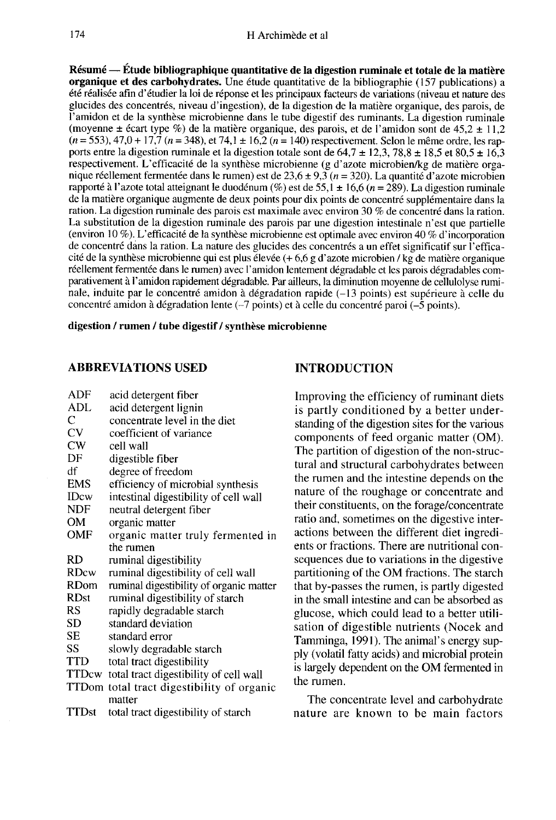Résumé ― Étude bibliographique quantitative de la digestion ruminale et totale de la matière organique et des carbohydrates. Une étude quantitative de la bibliographie (157 publications) a été réalisée afin d'étudier la loi de réponse et les principaux facteurs de variations (niveau et nature des glucides des concentrés, niveau d'ingestion), de la digestion de la matière organique, des parois, de l'amidon et de la synthèse microbienne dans le tube digestif des ruminants. La digestion ruminale (moyenne  $\pm$  écart type %) de la matière organique, des parois, et de l'amidon sont de 45,2  $\pm$  11.2  $(n = 553)$ , 47,0 + 17,7  $(n = 348)$ , et 74,1 ± 16,2  $(n = 140)$  respectivement. Selon le même ordre, les rapports entre la digestion ruminale et la digestion totale sont de  $64.7 \pm 12.3$ ,  $78.8 \pm 18.5$  et  $80.5 \pm 16.3$ respectivement. L'efficacité de la synthèse microbienne (g d'azote microbien/kg de matière organique réellement fermentée dans le rumen) est de  $23.6 \pm 9.3$  ( $n = 320$ ). La quantité d'azote microbien rapporté à l'azote total atteignant le duodénum (%) est de 55,  $1 \pm 16, 6$  ( $n = 289$ ). La digestion ruminale de la matière organique augmente de deux points pour dix points de concentré supplémentaire dans la ration. La digestion ruminale des parois est maximale avec environ 30 % de concentré dans la ration. (environ 10 %). L'efficacité de la synthèse microbienne est optimale avec environ 40 % d'incorporation<br>de concentré dans la ration. La nature des glucides des concentrés a un effet significatif sur l'efficacité de la synthèse microbienne qui est plus élevée (+ 6,6 g d'azote microbien / kg de matière organique réellement fermentée dans le rumen) avec l'amidon lentement dégradable et les parois dégradables comparativement à l'amidon rapidement dégradable. Par ailleurs, la diminution moyenne de cellulolyse ruminale, induite par le concentré amidon à dégradation rapide (-13 points) est supérieure à celle du concentré amidon à dégradation lente  $(-7 \text{ points})$  et à celle du concentré paroi  $(-5 \text{ points})$ .

digestion / rumen / tube digestif / synthèse microbienne

# **ABBREVIATIONS USED**

| ADF                    | acid detergent fiber                       |
|------------------------|--------------------------------------------|
| ADL                    | acid detergent lignin                      |
| C.                     | concentrate level in the diet              |
| <b>CV</b>              | coefficient of variance                    |
| $\mathbf{C}\mathbf{W}$ | cell wall                                  |
| DF                     | digestible fiber                           |
| df                     | degree of freedom                          |
| <b>EMS</b>             | efficiency of microbial synthesis          |
| <b>IDcw</b>            | intestinal digestibility of cell wall      |
| NDF                    | neutral detergent fiber                    |
| OМ                     | organic matter                             |
| OMF                    | organic matter truly fermented in          |
|                        | the rumen                                  |
| RD                     | ruminal digestibility                      |
| <b>RDcw</b>            | ruminal digestibility of cell wall         |
| <b>RDom</b>            | ruminal digestibility of organic matter    |
| <b>RDst</b>            | ruminal digestibility of starch            |
| RS                     | rapidly degradable starch                  |
| SD                     | standard deviation                         |
| SE                     | standard error                             |
| SS                     | slowly degradable starch                   |
| <b>TTD</b>             | total tract digestibility                  |
| TTDcw                  | total tract digestibility of cell wall     |
|                        | TTDom total tract digestibility of organic |
|                        | matter                                     |
| TTDst                  | total tract digestibility of starch        |

# INTRODUCTION

Improving the efficiency of ruminant diets is partly conditioned by a better understanding of the digestion sites for the various components of feed organic matter (OM). The partition of digestion of the non-structural and structural carbohydrates between the rumen and the intestine depends on the nature of the roughage or concentrate and their constituents, on the forage/concentrate ratio and, sometimes on the digestive interactions between the different diet ingredi ents or fractions. There are nutritional consequences due to variations in the digestive partitioning of the OM fractions. The starch that by-passes the rumen, is partly digested in the small intestine and can be absorbed as glucose, which could lead to a better utilisation of digestible nutrients (Nocek and Tamminga, 1991). The animal's energy supply (volatil fatty acids) and microbial protein is largely dependent on the OM fermented in the rumen.

The concentrate level and carbohydrate nature are known to be main factors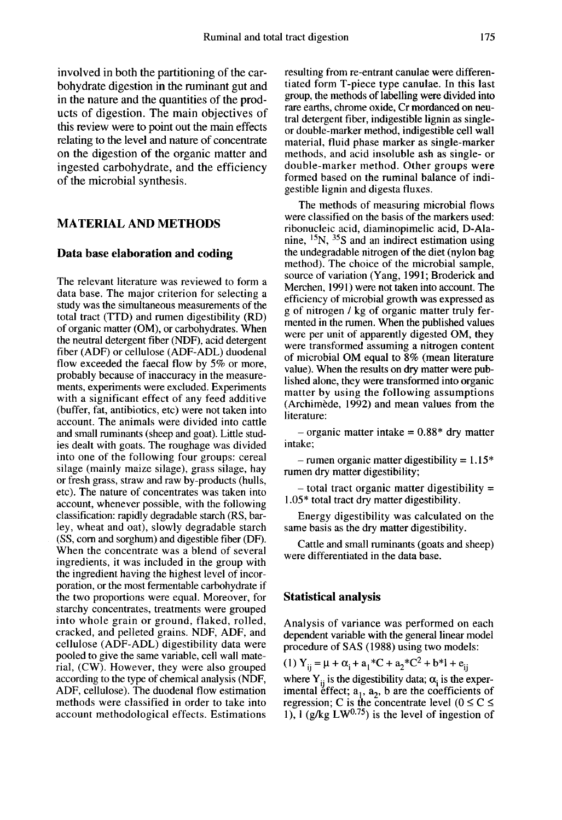involved in both the partitioning of the carbohydrate digestion in the ruminant gut and in the nature and the quantities of the prod ucts of digestion. The main objectives of this review were to point out the main effects relating to the level and nature of concentrate on the digestion of the organic matter and ingested carbohydrate, and the efficiency of the microbial synthesis.

## MATERIAL AND METHODS

#### Data base elaboration and coding

The relevant literature was reviewed to form a data base. The major criterion for selecting a study was the simultaneous measurements of the total tract (TTD) and rumen digestibility (RD) of organic matter (OM), or carbohydrates. When the neutral detergent fiber (NDF), acid detergent fiber (ADF) or cellulose (ADF-ADL) duodenal flow exceeded the faecal flow by 5% or more, probably because of inaccuracy in the measurements, experiments were excluded. Experiments with a significant effect of any feed additive (buffer, fat, antibiotics, etc) were not taken into account. The animals were divided into cattle and small ruminants (sheep and goat). Little studies dealt with goats. The roughage was divided into one of the following four groups: cereal silage (mainly maize silage), grass silage, hay or fresh grass, straw and raw by-products (hulls, etc). The nature of concentrates was taken into account, whenever possible, with the following classification: rapidly degradable starch (RS, barley, wheat and oat), slowly degradable starch (SS, corn and sorghum) and digestible fiber (DF). When the concentrate was a blend of several ingredients, it was included in the group with the ingredient having the highest level of incorporation, or the most fermentable carbohydrate if the two proportions were equal. Moreover, for starchy concentrates, treatments were grouped into whole grain or ground, flaked, rolled, cracked, and pelleted grains. NDF, ADF, and cellulose (ADF-ADL) digestibility data were pooled to give the same variable, cell wall material, (CW). However, they were also grouped according to the type of chemical analysis (NDF, ADF, cellulose). The duodenal flow estimation methods were classified in order to take into account methodological effects. Estimations

resulting from re-entrant canulae were differentiated form T-piece type canulae. In this last group, the methods of labelling were divided into rare earths, chrome oxide, Cr mordanced on neutral detergent fiber, indigestible lignin as single or double-marker method, indigestible cell wall material, fluid phase marker as single-marker methods, and acid insoluble ash as single- or double-marker method. Other groups were formed based on the ruminal balance of indigestible lignin and digesta fluxes.

The methods of measuring microbial flows were classified on the basis of the markers used: ribonucleic acid, diaminopimelic acid, D-Alanine,  $15N$ ,  $35S$  and an indirect estimation using the undegradable nitrogen of the diet (nylon bag method). The choice of the microbial sample, source of variation (Yang, 1991; Broderick and Merchen, 1991 ) were not taken into account. The efficiency of microbial growth was expressed as g of nitrogen / kg of organic matter truly fermented in the rumen. When the published values were per unit of apparently digested OM, they were transformed assuming a nitrogen content of microbial OM equal to 8% (mean literature value). When the results on dry matter were published alone, they were transformed into organic matter by using the following assumptions (Archimède, 1992) and mean values from the literature:

 $-$  organic matter intake  $= 0.88*$  dry matter intake;

- rumen organic matter digestibility =  $1.15*$ rumen dry matter digestibility;

 $-$  total tract organic matter digestibility  $=$  $1.05*$  total tract dry matter digestibility.

Energy digestibility was calculated on the same basis as the dry matter digestibility.

Cattle and small ruminants (goats and sheep) were differentiated in the data base.

#### Statistical analysis

Analysis of variance was performed on each dependent variable with the general linear model procedure of SAS (1988) using two models:

(1) 
$$
Y_{ij} = \mu + \alpha_i + a_1 * C + a_2 * C^2 + b * 1 + e_{ij}
$$

where  $Y_{ii}$  is the digestibility data;  $\alpha_i$  is the experimental effect;  $a_1$ ,  $a_2$ , b are the coefficients of regression; C is the concentrate level  $(0 \le C \le$ where Y<sub>ij</sub> is the digestibility data;  $\alpha_i$  is the exper-<br>imental effect;  $a_1$ ,  $a_2$ , b are the coefficients of<br>regression; C is the concentrate level  $(0 \le C \le$ <br>1), 1 (g/kg LW<sup>0.75</sup>) is the level of ingestion of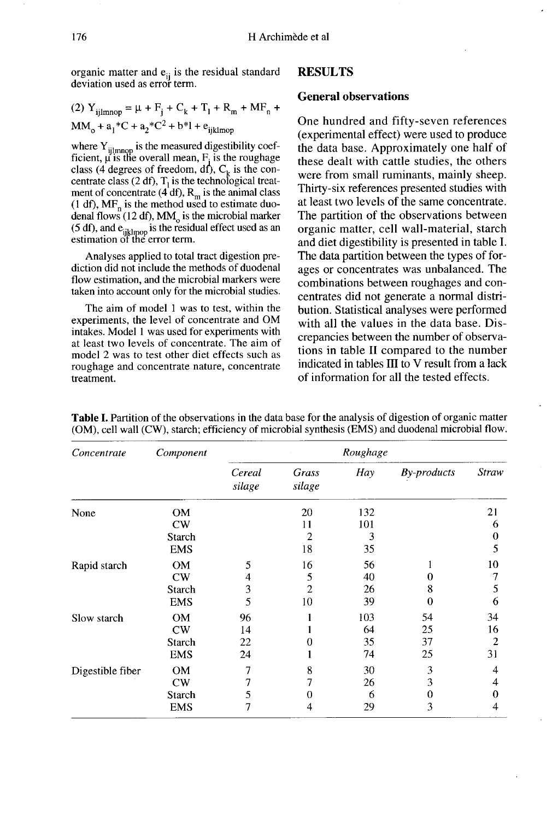organic matter and  $e_{ii}$  is the residual standard deviation used as error term.

(2) 
$$
Y_{ijlmnop} = \mu + F_j + C_k + T_1 + R_m + MF_n +
$$
  
\n $MM_o + a_1 * C + a_2 * C^2 + b * 1 + e_{iiklmop}$ 

MM<sub>o</sub> +  $a_1$ <sup>\*</sup>C +  $a_2$ <sup>\*</sup>C<sup>2</sup> +  $b$ <sup>\*1</sup> +  $e_{ijklmop}$ <br>where Y<sub>ijlmnop</sub> is the measured digestibility coef-<br>ficient,  $\mu$  is the overall mean, F<sub>1</sub> is the roughage<br>class (4 degrees of freedom, df), C<sub>k</sub> is the concentrate class (2 df),  $T_1$  is the technological treatment of concentrate (4 df),  $R_m$  is the animal class (1 df), MF<sub>n</sub> is the method used to estimate duo-<br>(1 df), MF<sub>n</sub> is the method used to estimate duo-<br>denal flows (12 df), MM<sub>o</sub> is the microbial marker (5 df), and e<sub>ijklmop</sub> is the residual effect used as an<br>estimation of the error term.

Analyses applied to total tract digestion prediction did not include the methods of duodenal flow estimation, and the microbial markers were taken into account only for the microbial studies.

The aim of model 1 was to test, within the experiments, the level of concentrate and OM intakes. Model 1 was used for experiments with at least two levels of concentrate. The aim of model 2 was to test other diet effects such as roughage and concentrate nature, concentrate treatment.

## RESULTS

#### General observations

One hundred and fifty-seven references (experimental effect) were used to produce the data base. Approximately one half of these dealt with cattle studies, the others were from small ruminants, mainly sheep. Thirty-six references presented studies with at least two levels of the same concentrate. The partition of the observations between organic matter, cell wall-material, starch and diet digestibility is presented in table I. The data partition between the types of forages or concentrates was unbalanced. The combinations between roughages and concentrates did not generate a normal distribution. Statistical analyses were performed with all the values in the data base. Discrepancies between the number of observations in table II compared to the number indicated in tables III to V result from a lack of information for all the tested effects.

| Concentrate      | Component              |                  |                 | Roughage                                                   |                |              |
|------------------|------------------------|------------------|-----------------|------------------------------------------------------------|----------------|--------------|
|                  |                        | Cereal<br>silage | Grass<br>silage | Hay                                                        | By-products    | Straw        |
| None             | <b>OM</b>              |                  | 20              | 132                                                        |                | 21           |
|                  | CW                     |                  | 11              | 101                                                        |                | 6            |
|                  | Starch                 |                  | 2               | 3                                                          | 8<br>54        | 0            |
|                  | <b>EMS</b>             |                  | 18              | 35                                                         |                | 5            |
| Rapid starch     | <b>OM</b>              | 5                | 16              | 56                                                         |                | 10           |
|                  | CW                     | 4                | 5               | 40                                                         |                | 7            |
|                  | Starch                 | 3                | 2               | 26                                                         |                | 5            |
|                  | <b>EMS</b>             | 5                | 10              | 39                                                         |                | 6            |
| Slow starch      | <b>OM</b>              | 96               |                 | 103                                                        |                | 34           |
|                  | $\mathbf{C}\mathbf{W}$ | 14               |                 | 64                                                         | 25             | 16           |
|                  | <b>Starch</b>          | 22               | 0               | 35<br>37<br>25<br>74<br>30<br>3<br>26<br>3<br>6<br>29<br>3 | $\overline{2}$ |              |
|                  | <b>EMS</b>             | 24               |                 |                                                            |                | 31           |
| Digestible fiber | <b>OM</b>              | 7                | 8               |                                                            |                | 4            |
|                  | CW                     | 7                |                 |                                                            |                | 4            |
|                  | Starch                 | 5                | 0               |                                                            |                | $\mathbf{0}$ |
|                  | <b>EMS</b>             | 7                | 4               |                                                            |                | 4            |

Table I. Partition of the observations in the data base for the analysis of digestion of organic matter (OM), cell wall (CW), starch; efficiency of microbial synthesis (EMS) and duodenal microbial flow.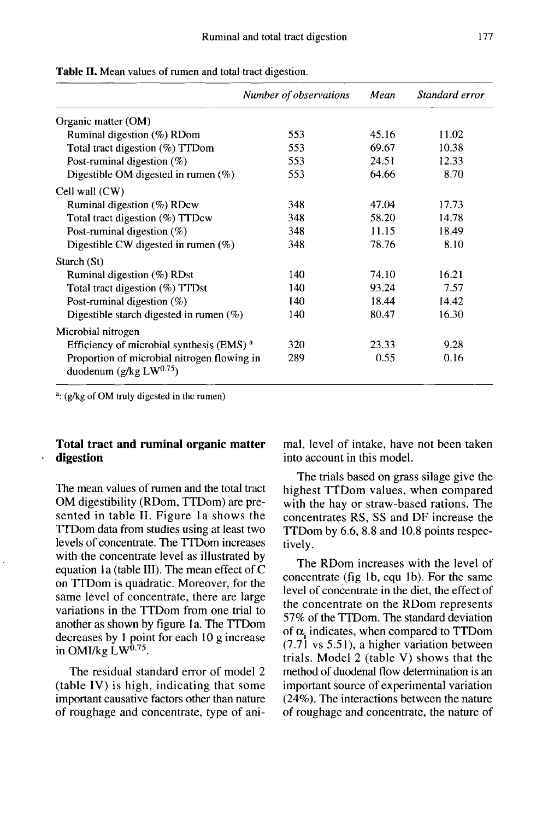|                                                                             | Number of observations | Mean  | Standard error |
|-----------------------------------------------------------------------------|------------------------|-------|----------------|
| Organic matter (OM)                                                         |                        |       |                |
| Ruminal digestion (%) RDom                                                  | 553                    | 45.16 | 11.02          |
| Total tract digestion (%) TTDom                                             | 553                    | 69.67 | 10.38          |
| Post-ruminal digestion $(\%)$                                               | 553                    | 24.51 | 12.33          |
| Digestible OM digested in rumen $(\%)$                                      | 553                    | 64.66 | 8.70           |
| Cell wall (CW)                                                              |                        |       |                |
| Ruminal digestion (%) RDcw                                                  | 348                    | 47.04 | 17.73          |
| Total tract digestion (%) TTDcw                                             | 348                    | 58.20 | 14.78          |
| Post-ruminal digestion $(\%)$                                               | 348                    | 11.15 | 18.49          |
| Digestible CW digested in rumen $(\%)$                                      | 348                    | 78.76 | 8.10           |
| Starch (St)                                                                 |                        |       |                |
| Ruminal digestion (%) RDst                                                  | 140                    | 74.10 | 16.21          |
| Total tract digestion (%) TTDst                                             | 140                    | 93.24 | 7.57           |
| Post-ruminal digestion $(\%)$                                               | 140                    | 18.44 | 14.42          |
| Digestible starch digested in rumen $(\%)$                                  | 140                    | 80.47 | 16.30          |
| Microbial nitrogen                                                          |                        |       |                |
| Efficiency of microbial synthesis (EMS) <sup>a</sup>                        | 320                    | 23.33 | 9.28           |
| Proportion of microbial nitrogen flowing in<br>duodenum (g/kg $LW^{0.75}$ ) | 289                    | 0.55  | 0.16           |

Table II. Mean values of rumen and total tract digestion.

<sup>a</sup>: (g/kg of OM truly digested in the rumen)

# Total tract and ruminal organic matter . digestion

The mean values of rumen and the total tract OM digestibility (RDom, TTDom) are presented in table II. Figure 1a shows the TTDom data from studies using at least two levels of concentrate. The TTDom increases with the concentrate level as illustrated by equation 1a (table III). The mean effect of C on TTDom is quadratic. Moreover, for the same level of concentrate, there are large variations in the TTDom from one trial to another as shown by figure la. The TTDom decreases by 1 point for each 10 g increase variations in the T<br>another as shown b<br>decreases by 1 poin<br>in OMI/kg LW<sup>0.75</sup>.

The residual standard error of model 2 (table IV) is high, indicating that some important causative factors other than nature of roughage and concentrate, type of ani-

mal, level of intake, have not been taken into account in this model.

The trials based on grass silage give the highest TTDom values, when compared with the hay or straw-based rations. The concentrates RS, SS and DF increase the TTDom by 6.6, 8.8 and 10.8 points respectively.

The RDom increases with the level of concentrate (fig lb, equ lb). For the same level of concentrate in the diet, the effect of the concentrate on the RDom represents 57% of the TTDom. The standard deviation of  $\alpha$ <sub>i</sub> indicates, when compared to TTDom  $(7.71 \text{ vs } 5.51)$ , a higher variation between trials. Model 2 (table V) shows that the method of duodenal flow determination is an important source of experimental variation (24%). The interactions between the nature of roughage and concentrate, the nature of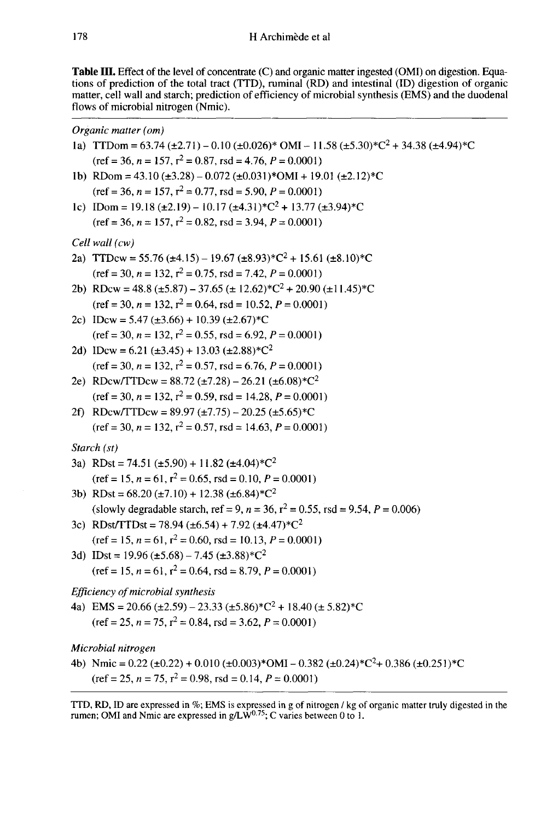Table III. Effect of the level of concentrate (C) and organic matter ingested (OMI) on digestion. Equations of prediction of the total tract (TTD), ruminal (RD) and intestinal (ID) digestion of organic matter, cell wall and starch; prediction of efficiency of microbial synthesis (EMS) and the duodenal flows of microbial nitrogen (Nmic).

| Organic matter (om)                                                                                                                         |
|---------------------------------------------------------------------------------------------------------------------------------------------|
| 1a) TTDom = $63.74 \text{ (+}2.71) - 0.10 \text{ (+}0.026)^*$ OMI - $11.58 \text{ (+}5.30)^* \text{C}^2 + 34.38 \text{ (+}4.94)^* \text{C}$ |
| $(\text{ref} = 36, n = 157, r^2 = 0.87, \text{rsd} = 4.76, P = 0.0001)$                                                                     |
| 1b) RDom = 43.10 ( $\pm$ 3.28) – 0.072 ( $\pm$ 0.031)*OMI + 19.01 ( $\pm$ 2.12)*C                                                           |
| $(\text{ref} = 36, n = 157, r^2 = 0.77, \text{rsd} = 5.90, P = 0.0001)$                                                                     |
| 1c) IDom = 19.18 ( $\pm 2.19$ ) – 10.17 ( $\pm 4.31$ )*C <sup>2</sup> + 13.77 ( $\pm 3.94$ )*C                                              |
| $(\text{ref} = 36, n = 157, r^2 = 0.82, \text{rsd} = 3.94, P = 0.0001)$                                                                     |
| Cell wall (cw)                                                                                                                              |
| 2a) TTDcw = 55.76 ( $\pm$ 4.15) – 19.67 ( $\pm$ 8.93)*C <sup>2</sup> + 15.61 ( $\pm$ 8.10)*C                                                |
| $(\text{ref} = 30, n = 132, r^2 = 0.75, \text{rsd} = 7.42, P = 0.0001)$                                                                     |
| 2b) RDcw = 48.8 (±5.87) – 37.65 (± 12.62)* $C^2$ + 20.90 (±11.45)*C                                                                         |
| $ref = 30, n = 132, r^2 = 0.64, rsd = 10.52, P = 0.0001$                                                                                    |
| 2c) IDcw = $5.47 (\pm 3.66) + 10.39 (\pm 2.67)^*C$                                                                                          |
| $(\text{ref} = 30, n = 132, r^2 = 0.55, \text{rsd} = 6.92, P = 0.0001)$                                                                     |
| 2d) IDcw = $6.21 (\pm 3.45) + 13.03 (\pm 2.88)^*C^2$                                                                                        |
| $ref = 30, n = 132, r2 = 0.57, rsd = 6.76, P = 0.0001$                                                                                      |
| 2e) RDcw/TTDcw = $88.72 \ (\pm 7.28) - 26.21 \ (\pm 6.08)^*C^2$                                                                             |
| $ref = 30, n = 132, r2 = 0.59, rsd = 14.28, P = 0.0001$                                                                                     |
| 2f) RDcw/TTDcw = $89.97 \ (\pm 7.75) - 20.25 \ (\pm 5.65)^*C$                                                                               |
| $ref = 30, n = 132, r^2 = 0.57, rsd = 14.63, P = 0.0001$                                                                                    |
| Starch (st)                                                                                                                                 |
| 3a) RDst = 74.51 ( $\pm$ 5.90) + 11.82 ( $\pm$ 4.04)*C <sup>2</sup>                                                                         |
| $(\text{ref} = 15, n = 61, r^2 = 0.65, \text{rsd} = 0.10, P = 0.0001)$                                                                      |
| 3b) RDst = $68.20 \ (\pm 7.10) + 12.38 \ (\pm 6.84)^{\ast}C^2$                                                                              |
| (slowly degradable starch, ref = 9, $n = 36$ , $r^2 = 0.55$ , rsd = 9.54, $P = 0.006$ )                                                     |
| 3c) RDst/TTDst = 78.94 ( $\pm$ 6.54) + 7.92 ( $\pm$ 4.47)*C <sup>2</sup>                                                                    |
| $ref = 15, n = 61, r2 = 0.60, rsd = 10.13, P = 0.0001$                                                                                      |
| 3d) IDst = 19.96 ( $\pm$ 5.68) – 7.45 ( $\pm$ 3.88)*C <sup>2</sup>                                                                          |
| $ref = 15, n = 61, r2 = 0.64, rsd = 8.79, P = 0.0001$                                                                                       |
| Efficiency of microbial synthesis                                                                                                           |
| 4a) EMS = 20.66 (±2.59) – 23.33 (±5.86)* $C^2$ + 18.40 (± 5.82)*C                                                                           |
| $ref = 25, n = 75, r2 = 0.84, rsd = 3.62, P = 0.0001$                                                                                       |
| Microbial nitrogen                                                                                                                          |
| 4b) Nmic = $0.22 (\pm 0.22) + 0.010 (\pm 0.003)^*$ OMI – $0.382 (\pm 0.24)^*$ C <sup>2</sup> + $0.386 (\pm 0.251)^*$ C                      |

TTD, RD, ID are expressed in %; EMS is expressed in g of nitrogen / kg of organic matter truly digested in the rumen; OMI and Nmic are expressed in  $g/LW^{0.75}$ ; C varies between 0 to 1.

 $(\text{ref} = 25, n = 75, r^2 = 0.98, \text{rsd} = 0.14, P = 0.0001)$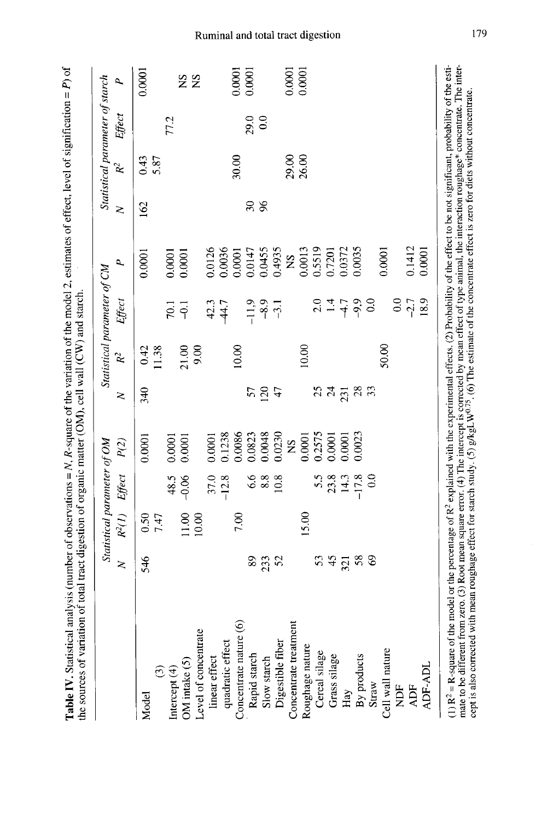|                                            |                  | Statistical parameter of OM |         |        |               |       | Statistical parameter of CM |              |               |                | Statistical parameter of starch |              |
|--------------------------------------------|------------------|-----------------------------|---------|--------|---------------|-------|-----------------------------|--------------|---------------|----------------|---------------------------------|--------------|
|                                            | ≳                | $R^2(I)$                    | Effect  | P(2)   | $\geq$        | Ķ     | Effect                      | $\mathbf{a}$ | $\geq$        | Ř              | Effect                          | $\mathbf{a}$ |
| Model                                      | 546              | 0.50                        |         | 0.0001 | 340           | 0.42  |                             | 0.0001       | 162           | 0.43           |                                 | 0.0001       |
|                                            |                  | 7.47                        |         |        |               | 11.38 |                             |              |               | 5.87           |                                 |              |
| Intercept (4)                              |                  |                             | 48.5    | 0.0001 |               |       | 70.1                        | 0.0001       |               |                | 77.2                            |              |
| OM intake (5)                              |                  | 11.00                       | $-0.06$ | 0.0001 |               | 21.00 | $\overline{q}$              | 0.0001       |               |                |                                 | <b>SN</b>    |
| Level of concentrate                       |                  | 10.00                       |         |        |               | 9.00  |                             |              |               |                |                                 | <b>S</b>     |
| linear effect                              |                  |                             | 37.0    | 0.0001 |               |       | 42.3                        | 0.0126       |               |                |                                 |              |
|                                            |                  |                             | $-12.8$ | 0.1238 |               |       | $-44.7$                     | 0.0036       |               |                |                                 |              |
| quadratic effect<br>Concentrate nature (6) |                  | 7.00                        |         | 0.0086 |               | 10.00 |                             | 0.0001       |               | 30.00          |                                 | 0.0001       |
| Rapid starch                               | 89               |                             | 6.6     | 0.0823 | 57            |       | $-11,9$                     | 0.0147       | $\mathcal{E}$ |                | 29.0                            | 0.0001       |
| Slow starch                                |                  |                             | 8.8     | 0.0048 | 120           |       | $-8.9$                      | 0.0455       | $\frac{8}{2}$ |                | 0.0                             |              |
| Digestible fiber                           | 23<br>52         |                             | 10.8    | 0.0230 | $\mathcal{A}$ |       |                             | 0.4935       |               |                |                                 |              |
| Concentrate treatment                      |                  |                             |         | 8N     |               |       |                             | <b>SN</b>    |               | 29.00<br>26.00 |                                 | 0.0001       |
| Roughage nature                            |                  | 15.00                       |         | 0.0001 |               | 10.00 |                             | 0.0013       |               |                |                                 | 0.0001       |
| Cereal silage                              |                  |                             |         | 0.2575 | 25            |       | 2.0                         | 0.5519       |               |                |                                 |              |
| Grass silage                               |                  |                             | 23.8    | 0.0001 |               |       | 14                          | 0.7201       |               |                |                                 |              |
| Hay                                        |                  |                             | 14.3    | 0.0001 | $24$<br>$231$ |       |                             | 0.0372       |               |                |                                 |              |
|                                            | <b>ន ម ភ្ល ន</b> |                             | $-17.8$ | 0.0023 | 28            |       | $-9,9$                      | 0.0035       |               |                |                                 |              |
| By products<br>Straw                       | $\degree$        |                             | 0.0     |        | 33            |       | 0.0                         |              |               |                |                                 |              |
| Cell wall nature                           |                  |                             |         |        |               | 50.00 |                             | 0.0001       |               |                |                                 |              |
|                                            |                  |                             |         |        |               |       | 0.0                         |              |               |                |                                 |              |
| NDF<br>ADF                                 |                  |                             |         |        |               |       | $-2.7$                      | 0.1412       |               |                |                                 |              |
| ADF-ADL                                    |                  |                             |         |        |               |       | 18.9                        | 0.0001       |               |                |                                 |              |

Ruminal and total tract digestion

179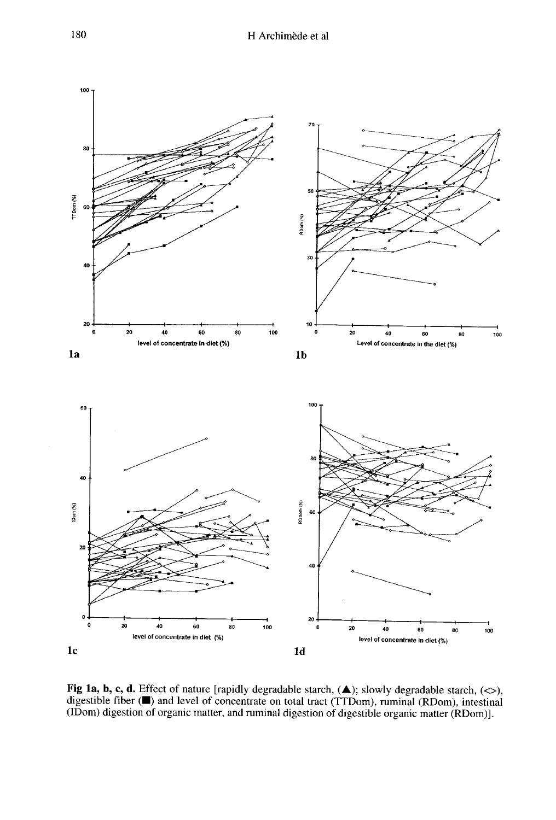

Fig 1a, b, c, d. Effect of nature [rapidly degradable starch,  $(A)$ ; slowly degradable starch,  $(\le)$ , digestible fiber  $(\blacksquare)$  and level of concentrate on total tract (TTDom), ruminal (RDom), intestinal (IDom) digestion of organic matter, and ruminal digestion of digestible organic matter (RDom)].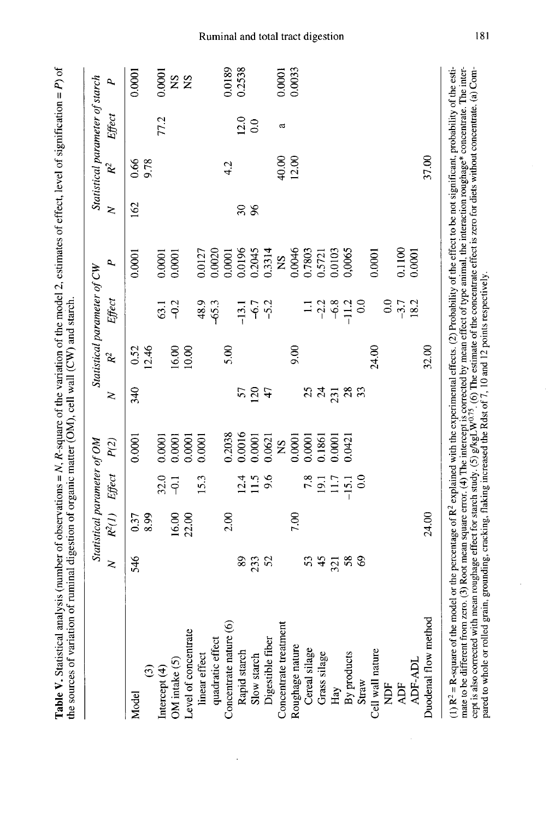|                                                                                                               |              | Statistical parameter of OM |                |        |              |       | Statistical parameter of CW |                |                 | Statistical parameter of starch |                  |           |
|---------------------------------------------------------------------------------------------------------------|--------------|-----------------------------|----------------|--------|--------------|-------|-----------------------------|----------------|-----------------|---------------------------------|------------------|-----------|
|                                                                                                               | $\geq$       | $R^2(I)$                    | Effect         | P(2)   | ≳            | Ķ     | Effect                      | ٩              | $\geq$          | $\approx$                       | <b>Effect</b>    | P         |
| Model                                                                                                         | 546          | 0.37                        |                | 0.0001 | 340          | 0.52  |                             | 0.0001         | 162             | 0.66                            |                  | 0.0001    |
|                                                                                                               |              | 8.99                        |                |        |              | 12.46 |                             |                |                 | 9.78                            |                  |           |
| Intercept $(4)$                                                                                               |              |                             | 32.0           | 0.0001 |              |       | 63.1                        | 0.0001         |                 |                                 | 77.2             | 0.0001    |
| OM intake (5)                                                                                                 |              |                             | $\overline{a}$ | 0.0001 |              | 16.00 | $-9.2$                      | 0.0001         |                 |                                 |                  | <b>SZ</b> |
| Level of concentrate                                                                                          |              | $16.00$<br>22.00            |                | 0.0001 |              | 10.00 |                             |                |                 |                                 |                  |           |
| linear effect                                                                                                 |              |                             | 15.3           | 0.0001 |              |       | 48.9                        | 0.0127         |                 |                                 |                  |           |
| quadratic effect                                                                                              |              |                             |                |        |              |       | $-65.3$                     | 0.0020         |                 |                                 |                  |           |
|                                                                                                               |              | 2.00                        |                | 0.2038 |              | 5.00  |                             | 0.0001         |                 | 4.2                             |                  | 0.0189    |
| Concentrate nature (6)<br>Rapid starch                                                                        | 89           |                             | 12.4           | 0.0016 | 57           |       | $-13.1$                     | 0.0196         | $\mathfrak{S}0$ |                                 | 12.0             | 0.2538    |
| Slow starch                                                                                                   | 233          |                             | 11.5           | 0.0001 | 120          |       |                             | 0.2045         | 96              |                                 | $\overline{0.0}$ |           |
| Digestible fiber                                                                                              |              |                             | 9.6            | 0.0621 | 47           |       | $-6.7$                      | 0.3314         |                 |                                 |                  |           |
| Concentrate treatment                                                                                         |              |                             |                | SN     |              |       |                             | $\overline{S}$ |                 | 40.00                           | a                | 0.0001    |
| Roughage nature                                                                                               |              | 7.00                        |                | 0.0001 |              | 000   |                             | 0.0046         |                 | 12.00                           |                  | 0.0033    |
| Cereal silage                                                                                                 |              |                             | 7.8            | 0.0001 | 25           |       |                             | 0.7803         |                 |                                 |                  |           |
| Grass silage                                                                                                  |              |                             | 19.1           | 0.1861 |              |       |                             | 0.5721         |                 |                                 |                  |           |
| $\text{Hay}$                                                                                                  | 342          |                             | 11.7           | 0.0001 | $rac{3}{23}$ |       | $-3.2$<br>$-9.8$            | 0.0103         |                 |                                 |                  |           |
| $\begin{tabular}{c} \bf By products \\ \bf Starw \\ \bf Cell wall nature \\ \bf MDF \\ \bf ADF \end{tabular}$ | $rac{8}{69}$ |                             | $-15.1$        | 0.0421 | 28           |       | $-11.2$                     | 0,0065         |                 |                                 |                  |           |
|                                                                                                               |              |                             | 0.0            |        |              |       | 0.0                         |                |                 |                                 |                  |           |
|                                                                                                               |              |                             |                |        |              | 24.00 |                             | 0.0001         |                 |                                 |                  |           |
|                                                                                                               |              |                             |                |        |              |       | 0.0                         |                |                 |                                 |                  |           |
|                                                                                                               |              |                             |                |        |              |       | $-3.7$                      | 0.1100         |                 |                                 |                  |           |
| ADF-ADL                                                                                                       |              |                             |                |        |              |       | 18.2                        | 0.0001         |                 |                                 |                  |           |
| Duodenal flow method                                                                                          |              | 24.00                       |                |        |              | 32.00 |                             |                |                 | 37.00                           |                  |           |

Ruminal and total tract digestion

181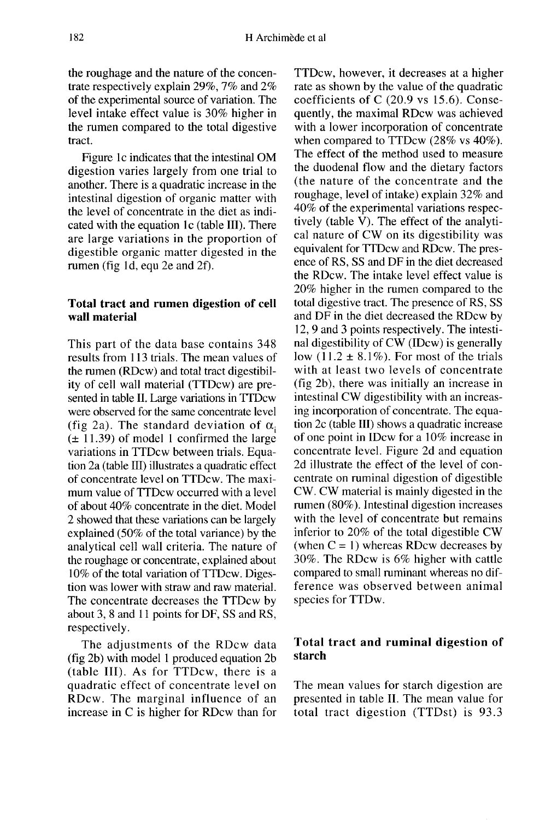the roughage and the nature of the concentrate respectively explain 29%, 7% and 2% of the experimental source of variation. The level intake effect value is 30% higher in the rumen compared to the total digestive tract.

Figure lc indicates that the intestinal OM digestion varies largely from one trial to another. There is a quadratic increase in the intestinal digestion of organic matter with the level of concentrate in the diet as indicated with the equation 1c (table III). There are large variations in the proportion of digestible organic matter digested in the rumen (fig 1d, equ 2e and 2f).

## Total tract and rumen digestion of cell wall material

This part of the data base contains 348 results from 113 trials. The mean values of the rumen (RDcw) and total tract digestibility of cell wall material (TTDcw) are presented in table II. Large variations in TTDcw were observed for the same concentrate level (fig 2a). The standard deviation of  $\alpha_i$  $(\pm 11.39)$  of model 1 confirmed the large variations in TTDcw between trials. Equation 2a (table III) illustrates a quadratic effect of concentrate level on TTDcw. The maximum value of TTDcw occurred with a level of about 40% concentrate in the diet. Model 2 showed that these variations can be largely explained (50% of the total variance) by the analytical cell wall criteria. The nature of the roughage or concentrate, explained about 10% of the total variation of TTDcw. Digestion was lower with straw and raw material. The concentrate decreases the TTDcw by about 3, 8 and 11 points for DF, SS and RS, respectively.

The adjustments of the RDcw data (fig 2b) with model 1 produced equation 2b (table III). As for TTDcw, there is a quadratic effect of concentrate level on RDcw. The marginal influence of an increase in C is higher for RDcw than for TTDcw, however, it decreases at a higher rate as shown by the value of the quadratic coefficients of C (20.9 vs 15.6). Consequently, the maximal RDcw was achieved with a lower incorporation of concentrate when compared to TTDcw (28% vs 40%). The effect of the method used to measure the duodenal flow and the dietary factors (the nature of the concentrate and the roughage, level of intake) explain 32% and 40% of the experimental variations respectively (table V). The effect of the analytical nature of CW on its digestibility was equivalent for TTDcw and RDcw. The presence of RS, SS and DF in the diet decreased the RDcw. The intake level effect value is 20% higher in the rumen compared to the total digestive tract. The presence of RS, SS and DF in the diet decreased the RDcw by 12, 9 and 3 points respectively. The intestinal digestibility of CW (IDcw) is generally low  $(11.2 \pm 8.1\%)$ . For most of the trials with at least two levels of concentrate (fig 2b), there was initially an increase in intestinal CW digestibility with an increasing incorporation of concentrate. The equation 2c (table III) shows a quadratic increase of one point in IDcw for a 10% increase in concentrate level. Figure 2d and equation 2d illustrate the effect of the level of concentrate on ruminal digestion of digestible CW. CW material is mainly digested in the rumen (80%). Intestinal digestion increases with the level of concentrate but remains inferior to 20% of the total digestible CW (when  $C = 1$ ) whereas RDcw decreases by 30%. The RDcw is 6% higher with cattle compared to small ruminant whereas no difference was observed between animal species for TTDw.

# Total tract and ruminal digestion of starch

The mean values for starch digestion are presented in table II. The mean value for total tract digestion (TTDst) is 93.3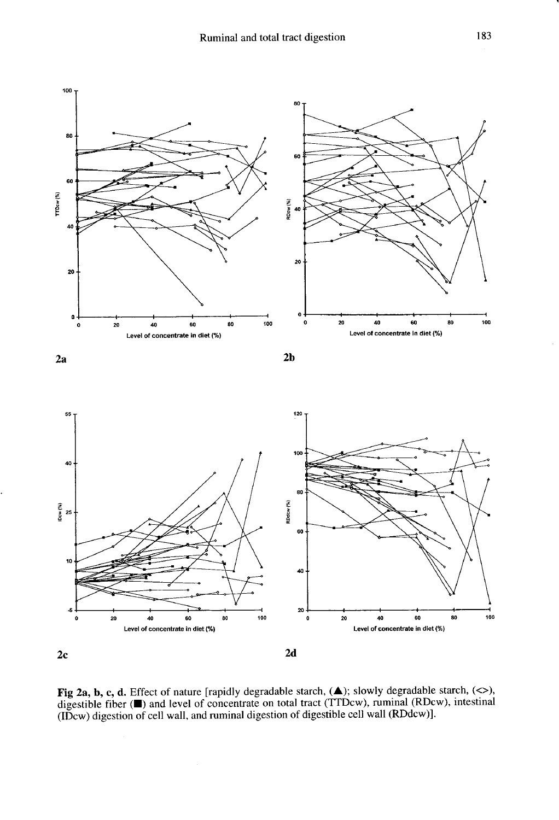

Fig 2a, b, c, d. Effect of nature [rapidly degradable starch, (A); slowly degradable starch, (<>), digestible fiber  $(\blacksquare)$  and level of concentrate on total tract (TTDcw), ruminal (RDcw), intestinal (IDcw) digestion of cell wall, and ruminal digestion of digestible cell wall (RDdcw)].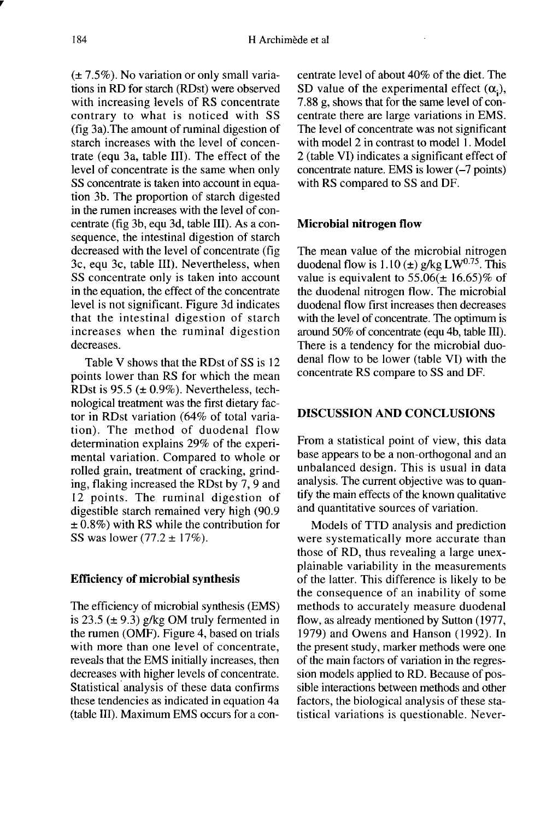$(\pm 7.5\%)$ . No variation or only small variations in RD for starch (RDst) were observed with increasing levels of RS concentrate contrary to what is noticed with SS (fig 3a).The amount of ruminal digestion of starch increases with the level of concentrate (equ 3a, table III). The effect of the level of concentrate is the same when only SS concentrate is taken into account in equation 3b. The proportion of starch digested in the rumen increases with the level of concentrate (fig 3b, equ 3d, table III). As a consequence, the intestinal digestion of starch decreased with the level of concentrate (fig 3c, equ 3c, table III). Nevertheless, when SS concentrate only is taken into account in the equation, the effect of the concentrate level is not significant. Figure 3d indicates that the intestinal digestion of starch increases when the ruminal digestion decreases.

Table V shows that the RDst of SS is 12 points lower than RS for which the mean RDst is  $95.5 \ (\pm 0.9\%)$ . Nevertheless, technological treatment was the first dietary factor in RDst variation (64% of total variation). The method of duodenal flow determination explains 29% of the experimental variation. Compared to whole or rolled grain, treatment of cracking, grinding, flaking increased the RDst by 7, 9 and 12 points. The ruminal digestion of digestible starch remained very high (90.9)  $\pm$  0.8%) with RS while the contribution for SS was lower  $(77.2 \pm 17\%)$ .

#### Efficiency of microbial synthesis

The efficiency of microbial synthesis (EMS) is 23.5  $(\pm 9.3)$  g/kg OM truly fermented in the rumen (OMF). Figure 4, based on trials with more than one level of concentrate, reveals that the EMS initially increases, then decreases with higher levels of concentrate. Statistical analysis of these data confirms these tendencies as indicated in equation 4a (table III). Maximum EMS occurs for a concentrate level of about 40% of the diet. The SD value of the experimental effect  $(\alpha_i)$ , 7.88 g, shows that for the same level of concentrate there are large variations in EMS. The level of concentrate was not significant with model 2 in contrast to model 1. Model 2 (table VI) indicates a significant effect of concentrate nature. EMS is lower  $(-7 \text{ points})$ with RS compared to SS and DF.

### Microbial nitrogen flow

The mean value of the microbial nitrogen duodenal flow is 1.10 ( $\pm$ ) g/kg LW<sup>0.75</sup>. This value is equivalent to  $55.06 \pm 16.65$ % of the duodenal nitrogen flow. The microbial duodenal flow first increases then decreases with the level of concentrate. The optimum is around 50% of concentrate (equ 4b, table III). There is a tendency for the microbial duodenal flow to be lower (table VI) with the concentrate RS compare to SS and DF.

## DISCUSSION AND CONCLUSIONS

From a statistical point of view, this data base appears to be a non-orthogonal and an unbalanced design. This is usual in data analysis. The current objective was to quantify the main effects of the known qualitative and quantitative sources of variation.

Models of TTD analysis and prediction were systematically more accurate than those of RD, thus revealing a large unexplainable variability in the measurements of the latter. This difference is likely to be the consequence of an inability of some methods to accurately measure duodenal flow, as already mentioned by Sutton (1977, 1979) and Owens and Hanson (1992). In the present study, marker methods were one of the main factors of variation in the regression models applied to RD. Because of possible interactions between methods and other factors, the biological analysis of these statistical variations is questionable. Never-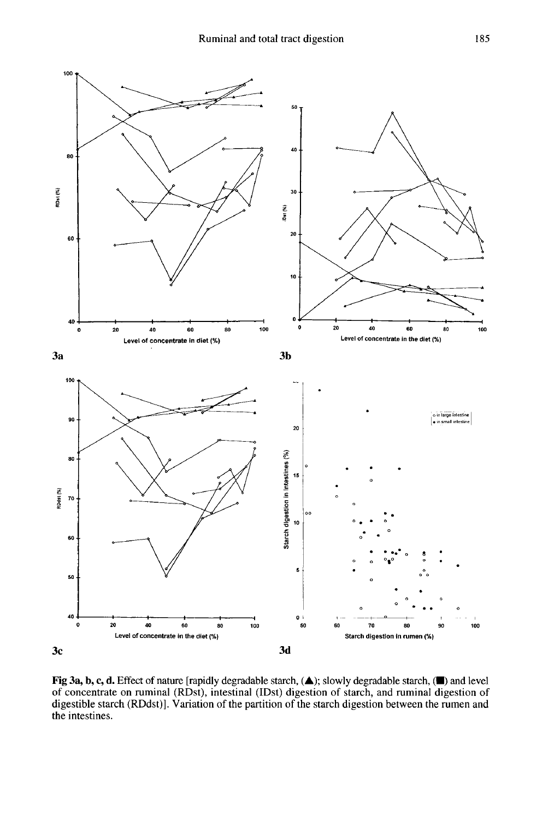

Fig 3a, b, c, d. Effect of nature [rapidly degradable starch,  $(\triangle)$ ; slowly degradable starch,  $(\blacksquare)$  and level of concentrate on ruminal (RDst), intestinal (IDst) digestion of starch, and ruminal digestion of digestible starch (RDdst)]. Variation of the partition of the starch digestion between the rumen and the intestines.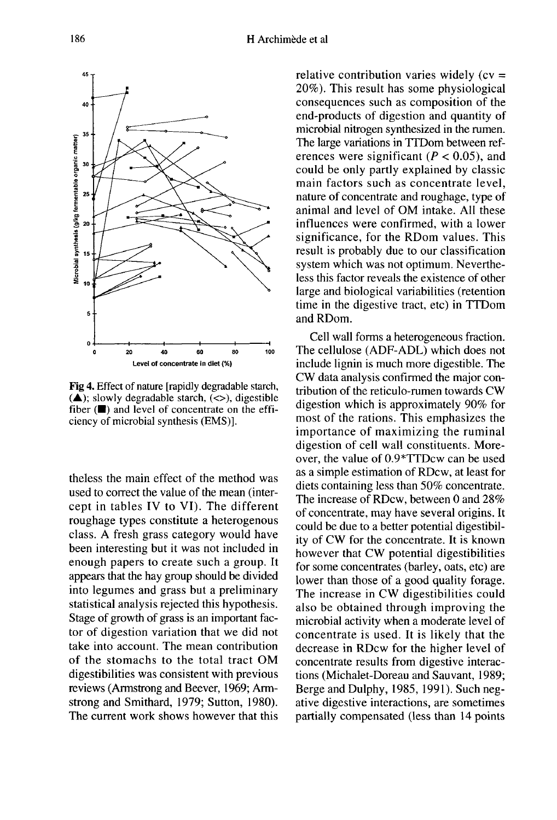

Fig 4. Effect of nature [rapidly degradable starch,  $(\triangle)$ ; slowly degradable starch,  $(\le)$ , digestible fiber  $(\blacksquare)$  and level of concentrate on the efficiency of microbial synthesis (EMS)].

theless the main effect of the method was used to correct the value of the mean (intercept in tables IV to VI). The different roughage types constitute a heterogenous class. A fresh grass category would have been interesting but it was not included in enough papers to create such a group. It appears that the hay group should be divided into legumes and grass but a preliminary statistical analysis rejected this hypothesis. Stage of growth of grass is an important factor of digestion variation that we did not take into account. The mean contribution of the stomachs to the total tract OM digestibilities was consistent with previous reviews (Armstrong and Beever, 1969; Armstrong and Smithard, 1979; Sutton, 1980). The current work shows however that this

relative contribution varies widely ( $cv =$ 20%). This result has some physiological consequences such as composition of the end-products of digestion and quantity of microbial nitrogen synthesized in the rumen. The large variations in TTDom between references were significant ( $P < 0.05$ ), and could be only partly explained by classic main factors such as concentrate level, nature of concentrate and roughage, type of animal and level of OM intake. All these influences were confirmed, with a lower significance, for the RDom values. This result is probably due to our classification system which was not optimum. Nevertheless this factor reveals the existence of other large and biological variabilities (retention time in the digestive tract, etc) in TTDom and RDom.

Cell wall forms a heterogeneous fraction. The cellulose (ADF-ADL) which does not include lignin is much more digestible. The CW data analysis confirmed the major contribution of the reticulo-rumen towards CW digestion which is approximately 90% for most of the rations. This emphasizes the importance of maximizing the ruminal digestion of cell wall constituents. More-<br>over, the value of 0.9\*TTDcw can be used next a main is mean more argument. The<br>CW data analysis confirmed the major con-<br>tribution of the reticulo-rumen towards CW<br>digestion which is approximately 90% for<br>most of the rations. This emphasizes the<br>importance of ma as a simple estimation of RDcw, at least for diets containing less than 50% concentrate. The increase of RDcw, between 0 and 28% of concentrate, may have several origins. It could be due to a better potential digestibility of CW for the concentrate. It is known however that CW potential digestibilities for some concentrates (barley, oats, etc) are lower than those of a good quality forage. The increase in CW digestibilities could also be obtained through improving the microbial activity when a moderate level of concentrate is used. It is likely that the decrease in RDcw for the higher level of concentrate results from digestive interactions (Michalet-Doreau and Sauvant, 1989; Berge and Dulphy, 1985, 1991). Such negative digestive interactions, are sometimes partially compensated (less than 14 points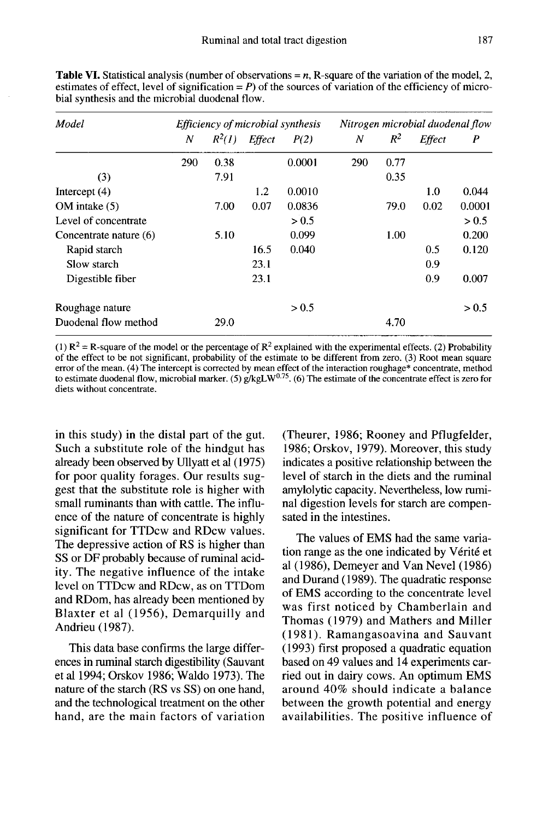| Model                  |     |          |        | Efficiency of microbial synthesis |     |       | Nitrogen microbial duodenal flow                  |        |
|------------------------|-----|----------|--------|-----------------------------------|-----|-------|---------------------------------------------------|--------|
|                        | N   | $R^2(I)$ | Effect | P(2)                              | N   | $R^2$ | <b>Effect</b><br>1.0<br>0.02<br>0.5<br>0.9<br>0.9 | P      |
|                        | 290 | 0.38     |        | 0.0001                            | 290 | 0.77  |                                                   |        |
| (3)                    |     | 7.91     |        |                                   |     | 0.35  |                                                   |        |
| Intercept $(4)$        |     |          | 1.2    | 0.0010                            |     |       |                                                   | 0.044  |
| $OM$ intake $(5)$      |     | 7.00     | 0.07   | 0.0836                            |     | 79.0  |                                                   | 0.0001 |
| Level of concentrate   |     |          |        | > 0.5                             |     |       |                                                   | > 0.5  |
| Concentrate nature (6) |     | 5.10     |        | 0.099                             |     | 1.00  |                                                   | 0.200  |
| Rapid starch           |     |          | 16.5   | 0.040                             |     |       |                                                   | 0.120  |
| Slow starch            |     |          | 23.1   |                                   |     |       |                                                   |        |
| Digestible fiber       |     |          | 23.1   |                                   |     |       |                                                   | 0.007  |
| Roughage nature        |     |          |        | > 0.5                             |     |       |                                                   | > 0.5  |
| Duodenal flow method   |     | 29.0     |        |                                   |     | 4.70  |                                                   |        |

**Table VI.** Statistical analysis (number of observations  $= n$ , R-square of the variation of the model, 2, estimates of effect, level of signification =  $P$ ) of the sources of variation of the efficiency of microbial synthesis and the microbial duodenal flow.

(1)  $R^2 = R$ -square of the model or the percentage of  $R^2$  explained with the experimental effects. (2) Probability of the effect to be not significant, probability of the estimate to be different from zero. (3) Root mean square error of the mean. (4) The intercept is corrected by mean effect of the interaction roughage\* concentrate, method to estimate duodenal flow, microbial marker. (5)  $g/kgLW^{0.75}$ , (6) The estimate of the concentrate effect is zero for diets without concentrate.

in this study) in the distal part of the gut. Such a substitute role of the hindgut has already been observed by Ullyatt et al (1975) for poor quality forages. Our results suggest that the substitute role is higher with small ruminants than with cattle. The influence of the nature of concentrate is highly significant for TTDcw and RDcw values. The depressive action of RS is higher than SS or DF probably because of ruminal acidity. The negative influence of the intake level on TTDcw and RDcw, as on TTDom and RDom, has already been mentioned by Blaxter et al (1956), Demarquilly and Andrieu (1987).

This data base confirms the large differences in ruminal starch digestibility (Sauvant et al 1994; Orskov 1986; Waldo 1973). The nature of the starch (RS vs SS) on one hand, and the technological treatment on the other hand, are the main factors of variation (Theurer, 1986; Rooney and Pflugfelder, 1986; Orskov, 1979). Moreover, this study indicates a positive relationship between the level of starch in the diets and the ruminal amylolytic capacity. Nevertheless, low ruminal digestion levels for starch are compensated in the intestines.

The values of EMS had the same variation range as the one indicated by Vérité et al (1986), Demeyer and Van Nevel (1986) and Durand (1989). The quadratic response of EMS according to the concentrate level was first noticed by Chamberlain and Thomas (1979) and Mathers and Miller (1981). Ramangasoavina and Sauvant (1993) first proposed a quadratic equation based on 49 values and 14 experiments carried out in dairy cows. An optimum EMS around 40% should indicate a balance between the growth potential and energy availabilities. The positive influence of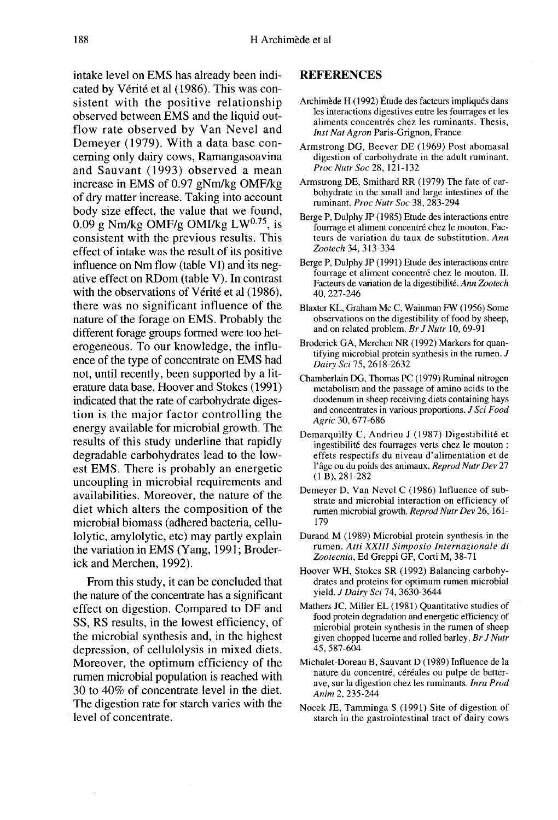intake level on EMS has already been indicated by Vérité et al (1986). This was consistent with the positive relationship observed between EMS and the liquid outflow rate observed by Van Nevel and Demeyer (1979). With a data base concerning only dairy cows, Ramangasoavina and Sauvant (1993) observed a mean increase in EMS of 0.97 gNm/kg OMF/kg of dry matter increase. Taking into account body size effect, the value that we found,<br>0.09 g Nm/kg OMF/g OMI/kg  $LW^{0.75}$ , is increase in EMS of 0.97 gNm/kg OMF/kg<br>of dry matter increase. Taking into account<br>body size effect, the value that we found,<br>0.09 g Nm/kg OMF/g OMI/kg LW<sup>0.75</sup>, is<br>consistent with the previous results. This consistent with the previous results. This effect of intake was the result of its positive influence on Nm flow (table VI) and its negative effect on RDom (table V). In contrast with the observations of Vérité et al (1986), there was no significant influence of the nature of the forage on EMS. Probably the different forage groups formed were too heterogeneous. To our knowledge, the influence of the type of concentrate on EMS had not, until recently, been supported by a literature data base. Hoover and Stokes (1991) indicated that the rate of carbohydrate digestion is the major factor controlling the energy available for microbial growth. The results of this study underline that rapidly degradable carbohydrates lead to the lowest EMS. There is probably an energetic uncoupling in microbial requirements and availabilities. Moreover, the nature of the diet which alters the composition of the microbial biomass (adhered bacteria, cellulolytic, amylolytic, etc) may partly explain the variation in EMS (Yang, 1991; Broderick and Merchen, 1992).

From this study, it can be concluded that the nature of the concentrate has a significant effect on digestion. Compared to DF and SS, RS results, in the lowest efficiency, of the microbial synthesis and, in the highest depression, of cellulolysis in mixed diets. Moreover, the optimum efficiency of the rumen microbial population is reached with 30 to 40% of concentrate level in the diet. The digestion rate for starch varies with the level of concentrate.

#### **REFERENCES**

- Archimède H (1992) Étude des facteurs impliqués dans les interactions digestives entre les fourrages et les aliments concentrés chez les ruminants. Thesis, Inst Nat Agron Paris-Grignon, France
- Armstrong DG, Beever DE (1969) Post abomasal digestion of carbohydrate in the adult ruminant. Proc Nutr Soc 28, 121-132
- Armstrong DE, Smithard RR (1979) The fate of carbohydrate in the small and large intestines of the ruminant. Proc Nutr Soc 38, 283-294
- Berge P, Dulphy JP (1985) Etude des interactions entre fourrage et aliment concentré chez le mouton. Facteurs de variation du taux de substitution. Ann Zootech 34, 313-334
- Berge P, Dulphy JP (1991) Etude des interactions entre fourrage et aliment concentré chez le mouton. II. Facteurs de variation de la digestibilité. Ann Zootech 40, 227-246
- Blaxter KL, Graham Mc C, Wainman FW (1956) Some observations on the digestibility of food by sheep, and on related problem. Br J Nutr 10, 69-91
- Broderick GA, Merchen NR (1992) Markers for quantifying microbial protein synthesis in the rumen. J Dairy Sci 75, 2618-2632
- Chamberlain DG, Thomas PC (1979) Ruminal nitrogen metabolism and the passage of amino acids to the duodenum in sheep receiving diets containing hays and concentrates in various proportions. J Sci Food Agric 30, 677-686
- Demarquilly C, Andrieu J (1987) Digestibilit6 et ingestibilité des fourrages verts chez le mouton : effets respectifs du niveau d'alimentation et de l'âge ou du poids des animaux. Reprod Nutr Dev 27 (1 B), 281-282
- Demeyer D, Van Nevel C (1986) Influence of substrate and microbial interaction on efficiency of rumen microbial growth. Reprod Nutr Dev 26, 161- 179
- Durand M (1989) Microbial protein synthesis in the rumen. Atti XXIII Simposio Internazionale di Zootecnia, Ed Greppi GF, Corti M, 38-71
- Hoover WH, Stokes SR (1992) Balancing carbohydrates and proteins for optimum rumen microbial yield. J Dairy Sci 74, 3630-3644
- Mathers JC, Miller EL (1981) Quantitative studies of food protein degradation and energetic efficiency of microbial protein synthesis in the rumen of sheep given chopped lucerne and rolled barley. Br J Nutr 45, 587-604
- Michalet-Doreau B, Sauvant D (1989) Influence de la nature du concentré, céréales ou pulpe de betterave, sur la digestion chez les ruminants. Inra Prod Anim 2, 235-244
- Nocek JE, Tamminga S (1991) Site of digestion of starch in the gastrointestinal tract of dairy cows